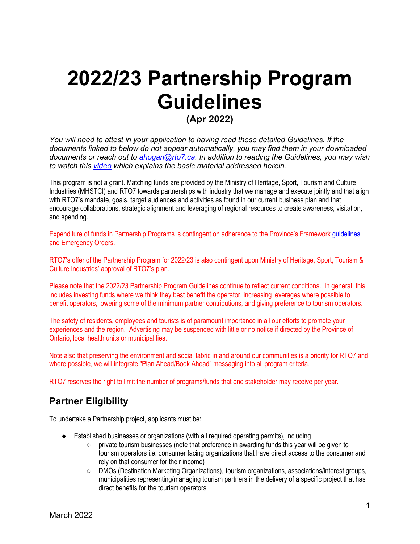# **2022/23 Partnership Program Guidelines (Apr 2022)**

*You will need to attest in your application to having read these detailed Guidelines. If the documents linked to below do not appear automatically, you may find them in your downloaded documents or reach out to [ahogan@rto7.ca.](mailto:ahogan@rto7.ca) In addition to reading the Guidelines, you may wish to watch this [video](https://www.youtube.com/watch?v=TfflMS5zdnY&ab_channel=RTO7Connection) which explains the basic material addressed herein.*

This program is not a grant. Matching funds are provided by the Ministry of Heritage, Sport, Tourism and Culture Industries (MHSTCI) and RTO7 towards partnerships with industry that we manage and execute jointly and that align with RTO7's mandate, goals, target audiences and activities as found in our current business plan and that encourage collaborations, strategic alignment and leveraging of regional resources to create awareness, visitation, and spending.

Expenditure of funds in Partnership Programs is contingent on adherence to the Province's Framewor[k guidelines](https://covid-19.ontario.ca/public-health-measures) and Emergency Orders.

RTO7's offer of the Partnership Program for 2022/23 is also contingent upon Ministry of Heritage, Sport, Tourism & Culture Industries' approval of RTO7's plan.

Please note that the 2022/23 Partnership Program Guidelines continue to reflect current conditions. In general, this includes investing funds where we think they best benefit the operator, increasing leverages where possible to benefit operators, lowering some of the minimum partner contributions, and giving preference to tourism operators.

The safety of residents, employees and tourists is of paramount importance in all our efforts to promote your experiences and the region. Advertising may be suspended with little or no notice if directed by the Province of Ontario, local health units or municipalities.

Note also that preserving the environment and social fabric in and around our communities is a priority for RTO7 and where possible, we will integrate "Plan Ahead/Book Ahead" messaging into all program criteria.

RTO7 reserves the right to limit the number of programs/funds that one stakeholder may receive per year.

## **Partner Eligibility**

To undertake a Partnership project, applicants must be:

- Established businesses or organizations (with all required operating permits), including
	- $\circ$  private tourism businesses (note that preference in awarding funds this year will be given to tourism operators i.e. consumer facing organizations that have direct access to the consumer and rely on that consumer for their income)
	- DMOs (Destination Marketing Organizations), tourism organizations, associations/interest groups, municipalities representing/managing tourism partners in the delivery of a specific project that has direct benefits for the tourism operators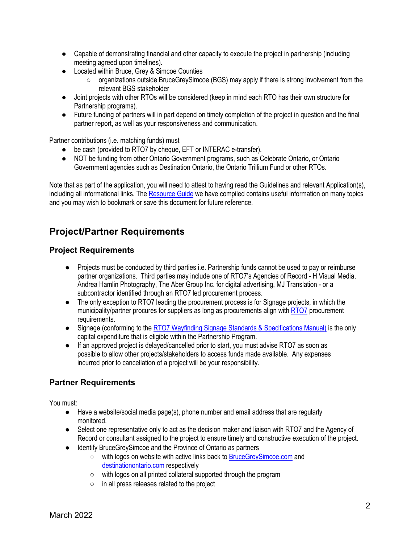- Capable of demonstrating financial and other capacity to execute the project in partnership (including meeting agreed upon timelines).
- Located within Bruce, Grey & Simcoe Counties
	- organizations outside BruceGreySimcoe (BGS) may apply if there is strong involvement from the relevant BGS stakeholder
- Joint projects with other RTOs will be considered (keep in mind each RTO has their own structure for Partnership programs).
- Future funding of partners will in part depend on timely completion of the project in question and the final partner report, as well as your responsiveness and communication.

Partner contributions (i.e. matching funds) must

- be cash (provided to RTO7 by cheque, EFT or INTERAC e-transfer).
- NOT be funding from other Ontario Government programs, such as Celebrate Ontario, or Ontario Government agencies such as Destination Ontario, the Ontario Trillium Fund or other RTOs.

Note that as part of the application, you will need to attest to having read the Guidelines and relevant Application(s), including all informational links. Th[e Resource Guide](https://rto7.ca/Public/Resources/Resource-Guide) we have compiled contains useful information on many topics and you may wish to bookmark or save this document for future reference.

## **Project/Partner Requirements**

### **Project Requirements**

- Projects must be conducted by third parties i.e. Partnership funds cannot be used to pay or reimburse partner organizations. Third parties may include one of RTO7's Agencies of Record - H Visual Media, Andrea Hamlin Photography, The Aber Group Inc. for digital advertising, MJ Translation - or a subcontractor identified through an RTO7 led procurement process.
- The only exception to RTO7 leading the procurement process is for Signage projects, in which the municipality/partner procures for suppliers as long as procurements align wit[h RTO7](https://rto7.ca/Public/Resources/Resource-Guide#RTO7Procurement) procurement requirements.
- Signage (conforming to th[e RTO7 Wayfinding Signage Standards & Specifications Manual\)](https://www.rto7data.ca/RTO7Media/RTOFiles/RT07_signmanual_20210603.pdf) is the only capital expenditure that is eligible within the Partnership Program.
- If an approved project is delayed/cancelled prior to start, you must advise RTO7 as soon as possible to allow other projects/stakeholders to access funds made available. Any expenses incurred prior to cancellation of a project will be your responsibility.

## **Partner Requirements**

You must:

- $\bullet$  Have a website/social media page(s), phone number and email address that are regularly monitored.
- Select one representative only to act as the decision maker and liaison with RTO7 and the Agency of Record or consultant assigned to the project to ensure timely and constructive execution of the project.
- Identify BruceGreySimcoe and the Province of Ontario as partners
	- with logos on website with active links back t[o BruceGreySimcoe.com](https://brucegreysimcoe.com/home) and [destinationontario.com](https://www.destinationontario.com/en-ca) respectively
	- with logos on all printed collateral supported through the program
	- in all press releases related to the project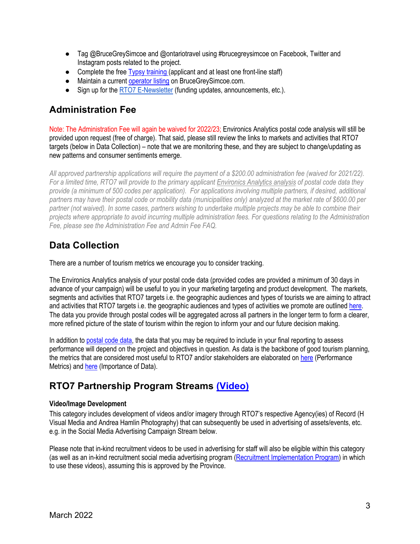- Tag @BruceGreySimcoe and @ontariotravel using #brucegreysimcoe on Facebook, Twitter and Instagram posts related to the project.
- Complete the free [Typsy training](https://rto7.ca/Public/Programs/BruceGreySimcoe-Free-Training) (applicant and at least one front-line staff)
- Maintain a curren[t operator listing](https://brucegreysimcoe.com/special-pages/operatormanagement/login) on BruceGreySimcoe.com.
- Sign up for th[e RTO7 E-Newsletter](https://rto7.ca/Public/Special-Pages/Mailing-List-Signup) (funding updates, announcements, etc.).

## **Administration Fee**

Note: The Administration Fee will again be waived for 2022/23; Environics Analytics postal code analysis will still be provided upon request (free of charge). That said, please still review the links to markets and activities that RTO7 targets (below in Data Collection) – note that we are monitoring these, and they are subject to change/updating as new patterns and consumer sentiments emerge.

*All approved partnership applications will require the payment of a \$200.00 administration fee (waived for 2021/22). For a limited time, RTO7 will provide to the primary applicant [Environics Analytics analysis](https://rto7.ca/Public/Resources/Resource-Guide#SamplePrizmReport) of postal code data they provide (a minimum of 500 codes per application). For applications involving multiple partners, if desired, additional partners may have their postal code or mobility data (municipalities only) analyzed at the market rate of \$600.00 per partner (not waived). In some cases, partners wishing to undertake multiple projects may be able to combine their projects where appropriate to avoid incurring multiple administration fees. For questions relating to the Administration Fee, please see the Administration Fee and Admin Fee FAQ.*

# **Data Collection**

There are a number of tourism metrics we encourage you to consider tracking.

The Environics Analytics analysis of your postal code data (provided codes are provided a minimum of 30 days in advance of your campaign) will be useful to you in your marketing targeting and product development. The markets, segments and activities that RTO7 targets i.e. the geographic audiences and types of tourists we are aiming to attract and activities that RTO7 targets i.e. the geographic audiences and types of activities we promote are outlined [here.](https://rto7.ca/Public/Resources/Resource-Guide#TargetMarkets&Activities)  The data you provide through postal codes will be aggregated across all partners in the longer term to form a clearer, more refined picture of the state of tourism within the region to inform your and our future decision making.

In addition t[o postal code data,](https://rto7.ca/Public/Resources/Resource-Guide#PerformanceMetrics) the data that you may be required to include in your final reporting to assess performance will depend on the project and objectives in question. As data is the backbone of good tourism planning, the metrics that are considered most useful to RTO7 and/or stakeholders are elaborated on [here](https://rto7.ca/Public/Resources/Resource-Guide#AdditionalReportingMetrics) (Performance Metrics) an[d here](https://rto7.ca/Public/Resources/Resource-Guide#WhyCollectThisInfo) (Importance of Data).

## **RTO7 Partnership Program Streams [\(Video\)](https://www.youtube.com/watch?v=TfflMS5zdnY&ab_channel=RTO7Connection)**

#### **Video/Image Development**

This category includes development of videos and/or imagery through RTO7's respective Agency(ies) of Record (H Visual Media and Andrea Hamlin Photography) that can subsequently be used in advertising of assets/events, etc. e.g. in the Social Media Advertising Campaign Stream below.

Please note that in-kind recruitment videos to be used in advertising for staff will also be eligible within this category (as well as an in-kind recruitment social media advertising progra[m \(Recruitment Implementation Program\) i](https://rto7.ca/Public/Programs/Recruitment-Implementation-Program)n which to use these videos), assuming this is approved by the Province.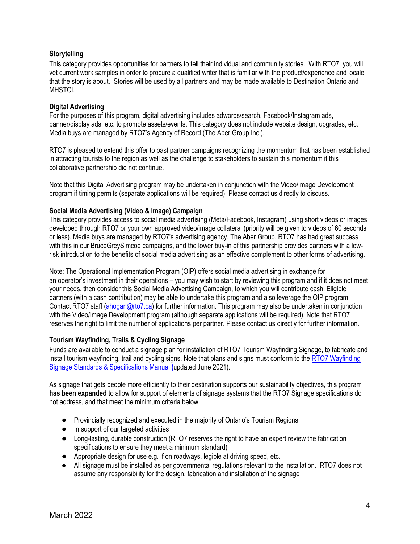#### **Storytelling**

This category provides opportunities for partners to tell their individual and community stories. With RTO7, you will vet current work samples in order to procure a qualified writer that is familiar with the product/experience and locale that the story is about. Stories will be used by all partners and may be made available to Destination Ontario and MHSTCI.

#### **Digital Advertising**

For the purposes of this program, digital advertising includes adwords/search, Facebook/Instagram ads, banner/display ads, etc. to promote assets/events. This category does not include website design, upgrades, etc. Media buys are managed by RTO7's Agency of Record (The Aber Group Inc.).

RTO7 is pleased to extend this offer to past partner campaigns recognizing the momentum that has been established in attracting tourists to the region as well as the challenge to stakeholders to sustain this momentum if this collaborative partnership did not continue.

Note that this Digital Advertising program may be undertaken in conjunction with the Video/Image Development program if timing permits (separate applications will be required). Please contact us directly to discuss.

#### **Social Media Advertising (Video & Image) Campaign**

This category provides access to social media advertising (Meta/Facebook, Instagram) using short videos or images developed through RTO7 or your own approved video/image collateral (priority will be given to videos of 60 seconds or less). Media buys are managed by RTO7's advertising agency, The Aber Group. RTO7 has had great success with this in our BruceGreySimcoe campaigns, and the lower buy-in of this partnership provides partners with a lowrisk introduction to the benefits of social media advertising as an effective complement to other forms of advertising.

Note: The Operational Implementation Program (OIP) offers social media advertising in exchange for an operator's investment in their operations – you may wish to start by reviewing this program and if it does not meet your needs, then consider this Social Media Advertising Campaign, to which you will contribute cash. Eligible partners (with a cash contribution) may be able to undertake this program and also leverage the OIP program. Contact RTO7 staff [\(ahogan@rto7.ca\)](mailto:ahogan@rto7.ca) for further information. This program may also be undertaken in conjunction with the Video/Image Development program (although separate applications will be required). Note that RTO7 reserves the right to limit the number of applications per partner. Please contact us directly for further information.

#### **Tourism Wayfinding, Trails & Cycling Signage**

Funds are available to conduct a signage plan for installation of RTO7 Tourism Wayfinding Signage, to fabricate and [install tourism wayfinding, trail and cycling signs. Note that plans and signs must conform to the RTO7 Wayfinding](https://www.rto7data.ca/RTO7Media/RTOFiles/RT07_signmanual_20210603.pdf)  Signage Standards & Specifications Manual **(**updated June 2021).

As signage that gets people more efficiently to their destination supports our sustainability objectives, this program **has been expanded** to allow for support of elements of signage systems that the RTO7 Signage specifications do not address, and that meet the minimum criteria below:

- Provincially recognized and executed in the majority of Ontario's Tourism Regions
- In support of our targeted activities
- Long-lasting, durable construction (RTO7 reserves the right to have an expert review the fabrication specifications to ensure they meet a minimum standard)
- Appropriate design for use e.g. if on roadways, legible at driving speed, etc.
- All signage must be installed as per governmental regulations relevant to the installation. RTO7 does not assume any responsibility for the design, fabrication and installation of the signage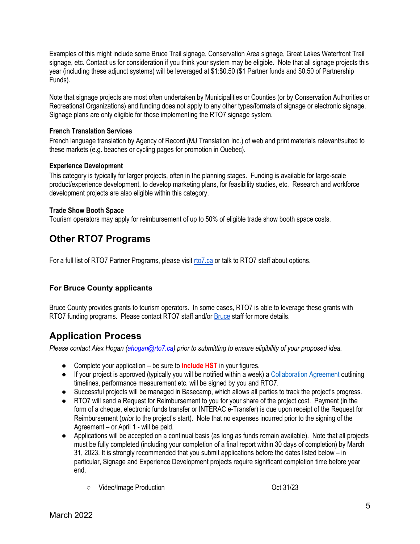Examples of this might include some Bruce Trail signage, Conservation Area signage, Great Lakes Waterfront Trail signage, etc. Contact us for consideration if you think your system may be eligible. Note that all signage projects this year (including these adjunct systems) will be leveraged at \$1:\$0.50 (\$1 Partner funds and \$0.50 of Partnership Funds).

Note that signage projects are most often undertaken by Municipalities or Counties (or by Conservation Authorities or Recreational Organizations) and funding does not apply to any other types/formats of signage or electronic signage. Signage plans are only eligible for those implementing the RTO7 signage system.

#### **French Translation Services**

French language translation by Agency of Record (MJ Translation Inc.) of web and print materials relevant/suited to these markets (e.g. beaches or cycling pages for promotion in Quebec).

#### **Experience Development**

This category is typically for larger projects, often in the planning stages. Funding is available for large-scale product/experience development, to develop marketing plans, for feasibility studies, etc. Research and workforce development projects are also eligible within this category.

#### **Trade Show Booth Space**

Tourism operators may apply for reimbursement of up to 50% of eligible trade show booth space costs.

## **Other RTO7 Programs**

For a full list of RTO7 Partner Programs, please visit [rto7.ca](https://rto7.ca/Public/Programs) or talk to RTO7 staff about options.

#### **For Bruce County applicants**

Bruce County provides grants to tourism operators. In some cases, RTO7 is able to leverage these grants with RTO7 funding programs. Please contact RTO7 staff and/o[r Bruce](mailto:info@sprucethebruce.com) staff for more details.

## **Application Process**

*Please contact Alex Hogan [\(ahogan@rto7.ca\)](mailto:ahogan@rto7.ca) prior to submitting to ensure eligibility of your proposed idea.*

- Complete your application be sure to **include HST** in your figures.
- If your project is approved (typically you will be notified within a week) [a Collaboration](https://rto7.ca/Public/Resources/Resource-Guide#CollaborationAgreement) Agreement outlining timelines, performance measurement etc. will be signed by you and RTO7.
- Successful projects will be managed in Basecamp, which allows all parties to track the project's progress.
- RTO7 will send a Request for Reimbursement to you for your share of the project cost. Payment (in the form of a cheque, electronic funds transfer or INTERAC e-Transfer) is due upon receipt of the Request for Reimbursement (*prior* to the project's start). Note that no expenses incurred prior to the signing of the Agreement – or April 1 - will be paid.
- Applications will be accepted on a continual basis (as long as funds remain available). Note that all projects must be fully completed (including your completion of a final report within 30 days of completion) by March 31, 2023. It is strongly recommended that you submit applications before the dates listed below – in particular, Signage and Experience Development projects require significant completion time before year end.
	- Video/Image Production Oct 31/23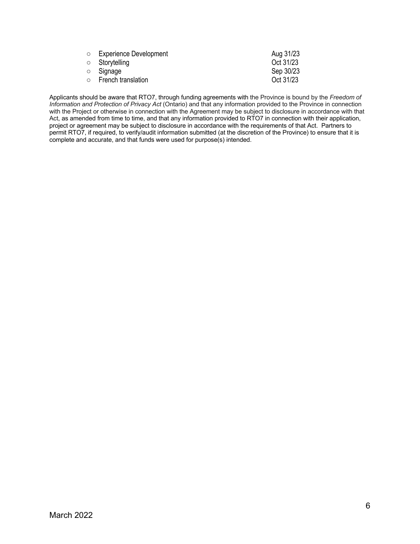| <b>O</b> Experience Development | Aug 31/23 |
|---------------------------------|-----------|
| ○ Storytelling                  | Oct 31/23 |
| ○ Signage                       | Sep 30/23 |
| $\circ$ French translation      | Oct 31/23 |
|                                 |           |

Applicants should be aware that RTO7, through funding agreements with the Province is bound by the *Freedom of Information and Protection of Privacy Act* (Ontario) and that any information provided to the Province in connection with the Project or otherwise in connection with the Agreement may be subject to disclosure in accordance with that Act, as amended from time to time, and that any information provided to RTO7 in connection with their application, project or agreement may be subject to disclosure in accordance with the requirements of that Act. Partners to permit RTO7, if required, to verify/audit information submitted (at the discretion of the Province) to ensure that it is complete and accurate, and that funds were used for purpose(s) intended.